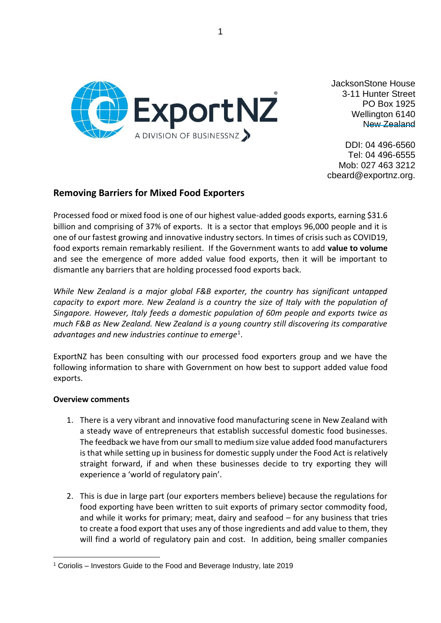

JacksonStone House 3-11 Hunter Street PO Box 1925 Wellington 6140 New Zealand

DDI: 04 496-6560 Tel: 04 496-6555 Mob: 027 463 3212 cbeard@exportnz.org.

## **Removing Barriers for Mixed Food Exporters**

Processed food or mixed food is one of our highest value-added goods exports, earning \$31.6 billion and comprising of 37% of exports. It is a sector that employs 96,000 people and it is one of our fastest growing and innovative industry sectors. In times of crisis such as COVID19, food exports remain remarkably resilient. If the Government wants to add **value to volume** and see the emergence of more added value food exports, then it will be important to dismantle any barriers that are holding processed food exports back.

*While New Zealand is a major global F&B exporter, the country has significant untapped capacity to export more. New Zealand is a country the size of Italy with the population of Singapore. However, Italy feeds a domestic population of 60m people and exports twice as much F&B as New Zealand. New Zealand is a young country still discovering its comparative advantages and new industries continue to emerge*<sup>1</sup> .

ExportNZ has been consulting with our processed food exporters group and we have the following information to share with Government on how best to support added value food exports.

## **Overview comments**

- 1. There is a very vibrant and innovative food manufacturing scene in New Zealand with a steady wave of entrepreneurs that establish successful domestic food businesses. The feedback we have from our small to medium size value added food manufacturers is that while setting up in business for domestic supply under the Food Act is relatively straight forward, if and when these businesses decide to try exporting they will experience a 'world of regulatory pain'.
- 2. This is due in large part (our exporters members believe) because the regulations for food exporting have been written to suit exports of primary sector commodity food, and while it works for primary; meat, dairy and seafood – for any business that tries to create a food export that uses any of those ingredients and add value to them, they will find a world of regulatory pain and cost. In addition, being smaller companies

<sup>1</sup> Coriolis – Investors Guide to the Food and Beverage Industry, late 2019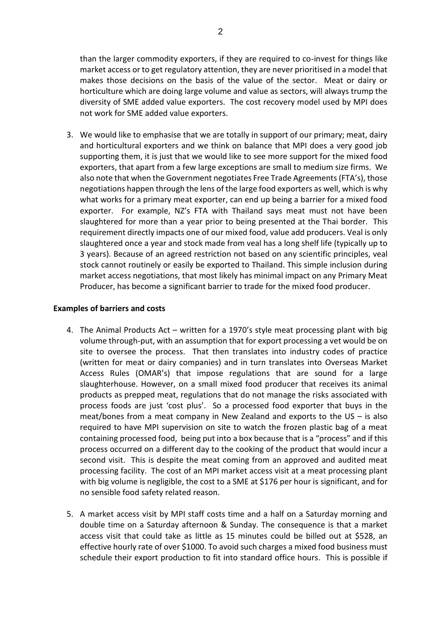than the larger commodity exporters, if they are required to co-invest for things like market access or to get regulatory attention, they are never prioritised in a model that makes those decisions on the basis of the value of the sector. Meat or dairy or horticulture which are doing large volume and value as sectors, will always trump the diversity of SME added value exporters. The cost recovery model used by MPI does not work for SME added value exporters.

3. We would like to emphasise that we are totally in support of our primary; meat, dairy and horticultural exporters and we think on balance that MPI does a very good job supporting them, it is just that we would like to see more support for the mixed food exporters, that apart from a few large exceptions are small to medium size firms. We also note that when the Government negotiates Free Trade Agreements (FTA's), those negotiations happen through the lens of the large food exporters as well, which is why what works for a primary meat exporter, can end up being a barrier for a mixed food exporter. For example, NZ's FTA with Thailand says meat must not have been slaughtered for more than a year prior to being presented at the Thai border. This requirement directly impacts one of our mixed food, value add producers. Veal is only slaughtered once a year and stock made from veal has a long shelf life (typically up to 3 years). Because of an agreed restriction not based on any scientific principles, veal stock cannot routinely or easily be exported to Thailand. This simple inclusion during market access negotiations, that most likely has minimal impact on any Primary Meat Producer, has become a significant barrier to trade for the mixed food producer.

## **Examples of barriers and costs**

- 4. The Animal Products Act written for a 1970's style meat processing plant with big volume through-put, with an assumption that for export processing a vet would be on site to oversee the process. That then translates into industry codes of practice (written for meat or dairy companies) and in turn translates into Overseas Market Access Rules (OMAR's) that impose regulations that are sound for a large slaughterhouse. However, on a small mixed food producer that receives its animal products as prepped meat, regulations that do not manage the risks associated with process foods are just 'cost plus'. So a processed food exporter that buys in the meat/bones from a meat company in New Zealand and exports to the US – is also required to have MPI supervision on site to watch the frozen plastic bag of a meat containing processed food, being put into a box because that is a "process" and if this process occurred on a different day to the cooking of the product that would incur a second visit. This is despite the meat coming from an approved and audited meat processing facility. The cost of an MPI market access visit at a meat processing plant with big volume is negligible, the cost to a SME at \$176 per hour is significant, and for no sensible food safety related reason.
- 5. A market access visit by MPI staff costs time and a half on a Saturday morning and double time on a Saturday afternoon & Sunday. The consequence is that a market access visit that could take as little as 15 minutes could be billed out at \$528, an effective hourly rate of over \$1000. To avoid such charges a mixed food business must schedule their export production to fit into standard office hours. This is possible if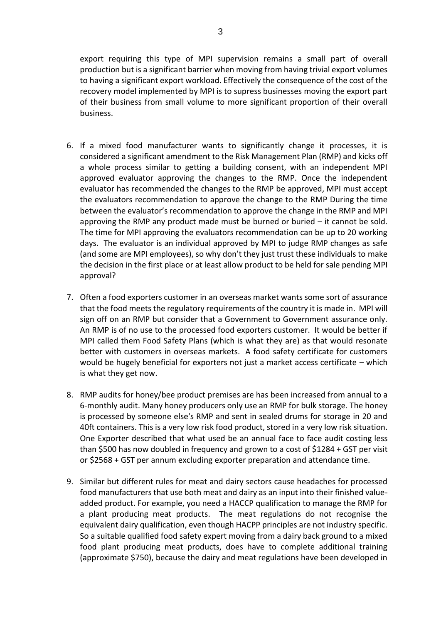export requiring this type of MPI supervision remains a small part of overall production but is a significant barrier when moving from having trivial export volumes to having a significant export workload. Effectively the consequence of the cost of the recovery model implemented by MPI is to supress businesses moving the export part of their business from small volume to more significant proportion of their overall business.

- 6. If a mixed food manufacturer wants to significantly change it processes, it is considered a significant amendment to the Risk Management Plan (RMP) and kicks off a whole process similar to getting a building consent, with an independent MPI approved evaluator approving the changes to the RMP. Once the independent evaluator has recommended the changes to the RMP be approved, MPI must accept the evaluators recommendation to approve the change to the RMP During the time between the evaluator's recommendation to approve the change in the RMP and MPI approving the RMP any product made must be burned or buried – it cannot be sold. The time for MPI approving the evaluators recommendation can be up to 20 working days. The evaluator is an individual approved by MPI to judge RMP changes as safe (and some are MPI employees), so why don't they just trust these individuals to make the decision in the first place or at least allow product to be held for sale pending MPI approval?
- 7. Often a food exporters customer in an overseas market wants some sort of assurance that the food meets the regulatory requirements of the country it is made in. MPI will sign off on an RMP but consider that a Government to Government assurance only. An RMP is of no use to the processed food exporters customer. It would be better if MPI called them Food Safety Plans (which is what they are) as that would resonate better with customers in overseas markets. A food safety certificate for customers would be hugely beneficial for exporters not just a market access certificate – which is what they get now.
- 8. RMP audits for honey/bee product premises are has been increased from annual to a 6-monthly audit. Many honey producers only use an RMP for bulk storage. The honey is processed by someone else's RMP and sent in sealed drums for storage in 20 and 40ft containers. This is a very low risk food product, stored in a very low risk situation. One Exporter described that what used be an annual face to face audit costing less than \$500 has now doubled in frequency and grown to a cost of \$1284 + GST per visit or \$2568 + GST per annum excluding exporter preparation and attendance time.
- 9. Similar but different rules for meat and dairy sectors cause headaches for processed food manufacturers that use both meat and dairy as an input into their finished valueadded product. For example, you need a HACCP qualification to manage the RMP for a plant producing meat products. The meat regulations do not recognise the equivalent dairy qualification, even though HACPP principles are not industry specific. So a suitable qualified food safety expert moving from a dairy back ground to a mixed food plant producing meat products, does have to complete additional training (approximate \$750), because the dairy and meat regulations have been developed in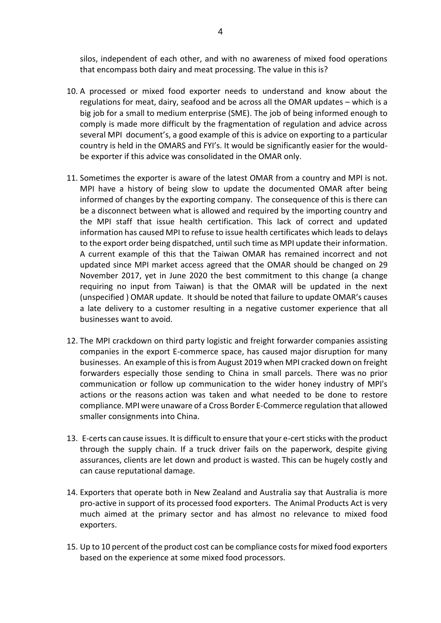silos, independent of each other, and with no awareness of mixed food operations that encompass both dairy and meat processing. The value in this is?

- 10. A processed or mixed food exporter needs to understand and know about the regulations for meat, dairy, seafood and be across all the OMAR updates – which is a big job for a small to medium enterprise (SME). The job of being informed enough to comply is made more difficult by the fragmentation of regulation and advice across several MPI document's, a good example of this is advice on exporting to a particular country is held in the OMARS and FYI's. It would be significantly easier for the wouldbe exporter if this advice was consolidated in the OMAR only.
- 11. Sometimes the exporter is aware of the latest OMAR from a country and MPI is not. MPI have a history of being slow to update the documented OMAR after being informed of changes by the exporting company. The consequence of this is there can be a disconnect between what is allowed and required by the importing country and the MPI staff that issue health certification. This lack of correct and updated information has caused MPI to refuse to issue health certificates which leads to delays to the export order being dispatched, until such time as MPI update their information. A current example of this that the Taiwan OMAR has remained incorrect and not updated since MPI market access agreed that the OMAR should be changed on 29 November 2017, yet in June 2020 the best commitment to this change (a change requiring no input from Taiwan) is that the OMAR will be updated in the next (unspecified ) OMAR update. It should be noted that failure to update OMAR's causes a late delivery to a customer resulting in a negative customer experience that all businesses want to avoid.
- 12. The MPI crackdown on third party logistic and freight forwarder companies assisting companies in the export E-commerce space, has caused major disruption for many businesses. An example of this is from August 2019 when MPI cracked down on freight forwarders especially those sending to China in small parcels. There was no prior communication or follow up communication to the wider honey industry of MPI's actions or the reasons action was taken and what needed to be done to restore compliance. MPI were unaware of a Cross Border E-Commerce regulation that allowed smaller consignments into China.
- 13. E-certs can cause issues. It is difficult to ensure that your e-cert sticks with the product through the supply chain. If a truck driver fails on the paperwork, despite giving assurances, clients are let down and product is wasted. This can be hugely costly and can cause reputational damage.
- 14. Exporters that operate both in New Zealand and Australia say that Australia is more pro-active in support of its processed food exporters. The Animal Products Act is very much aimed at the primary sector and has almost no relevance to mixed food exporters.
- 15. Up to 10 percent of the product cost can be compliance costs for mixed food exporters based on the experience at some mixed food processors.